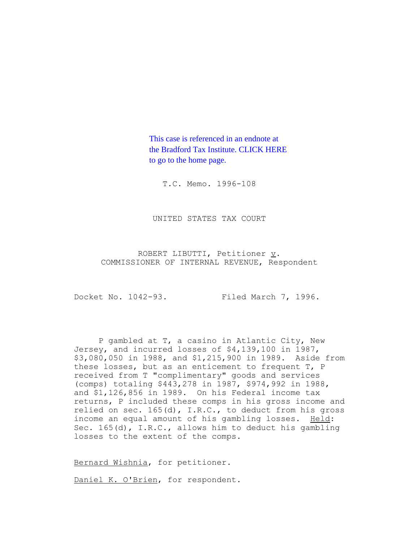This case is referenced in an endnote at [the Bradford Tax Institute. CLICK HERE](http://www.bradfordtaxinstitute.com/)  to go to the home page.

T.C. Memo. 1996-108

UNITED STATES TAX COURT

ROBERT LIBUTTI, Petitioner  $\underline{v}$ . COMMISSIONER OF INTERNAL REVENUE, Respondent

Docket No. 1042-93. Filed March 7, 1996.

P gambled at T, a casino in Atlantic City, New Jersey, and incurred losses of \$4,139,100 in 1987, \$3,080,050 in 1988, and \$1,215,900 in 1989. Aside from these losses, but as an enticement to frequent T, P received from T "complimentary" goods and services (comps) totaling \$443,278 in 1987, \$974,992 in 1988, and \$1,126,856 in 1989. On his Federal income tax returns, P included these comps in his gross income and relied on sec. 165(d), I.R.C., to deduct from his gross income an equal amount of his gambling losses. Held: Sec. 165(d), I.R.C., allows him to deduct his gambling losses to the extent of the comps.

Bernard Wishnia, for petitioner.

Daniel K. O'Brien, for respondent.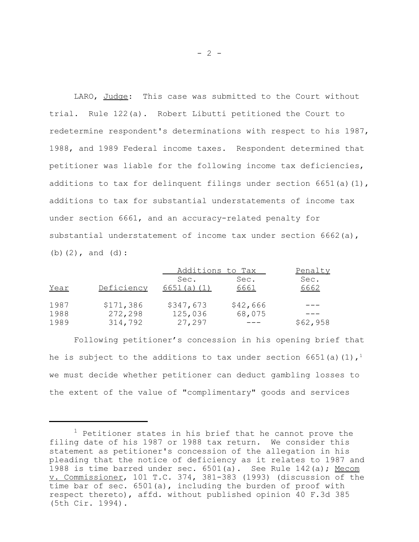LARO, Judge: This case was submitted to the Court without trial. Rule 122(a). Robert Libutti petitioned the Court to redetermine respondent's determinations with respect to his 1987, 1988, and 1989 Federal income taxes. Respondent determined that petitioner was liable for the following income tax deficiencies, additions to tax for delinquent filings under section  $6651(a)(1)$ , additions to tax for substantial understatements of income tax under section 6661, and an accuracy-related penalty for substantial understatement of income tax under section 6662(a), (b)(2), and (d):

|      |            | Additions to Tax | Penalty  |          |
|------|------------|------------------|----------|----------|
|      |            | Sec.             | Sec.     | Sec.     |
| Year | Deficiency | 6651(a) (1)      | 6661     | 6662     |
| 1987 | \$171,386  | \$347,673        | \$42,666 |          |
| 1988 | 272,298    | 125,036          | 68,075   |          |
| 1989 | 314,792    | 27,297           |          | \$62,958 |

Following petitioner's concession in his opening brief that he is subject to the additions to tax under section 6651(a)(1),<sup>1</sup> we must decide whether petitioner can deduct gambling losses to the extent of the value of "complimentary" goods and services

 $1$  Petitioner states in his brief that he cannot prove the filing date of his 1987 or 1988 tax return. We consider this statement as petitioner's concession of the allegation in his pleading that the notice of deficiency as it relates to 1987 and 1988 is time barred under sec. 6501(a). See Rule 142(a); Mecom v. Commissioner, 101 T.C. 374, 381-383 (1993) (discussion of the time bar of sec. 6501(a), including the burden of proof with respect thereto), affd. without published opinion 40 F.3d 385 (5th Cir. 1994).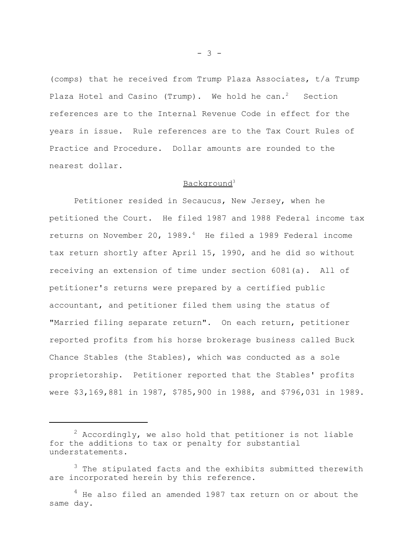(comps) that he received from Trump Plaza Associates, t/a Trump Plaza Hotel and Casino (Trump). We hold he can.<sup>2</sup> Section references are to the Internal Revenue Code in effect for the years in issue. Rule references are to the Tax Court Rules of Practice and Procedure. Dollar amounts are rounded to the nearest dollar.

# Background3

Petitioner resided in Secaucus, New Jersey, when he petitioned the Court. He filed 1987 and 1988 Federal income tax returns on November 20, 1989.<sup>4</sup> He filed a 1989 Federal income tax return shortly after April 15, 1990, and he did so without receiving an extension of time under section 6081(a). All of petitioner's returns were prepared by a certified public accountant, and petitioner filed them using the status of "Married filing separate return". On each return, petitioner reported profits from his horse brokerage business called Buck Chance Stables (the Stables), which was conducted as a sole proprietorship. Petitioner reported that the Stables' profits were \$3,169,881 in 1987, \$785,900 in 1988, and \$796,031 in 1989.

- 3 -

 $2$  Accordingly, we also hold that petitioner is not liable for the additions to tax or penalty for substantial understatements.

<sup>&</sup>lt;sup>3</sup> The stipulated facts and the exhibits submitted therewith are incorporated herein by this reference.

<sup>4</sup> He also filed an amended 1987 tax return on or about the same day.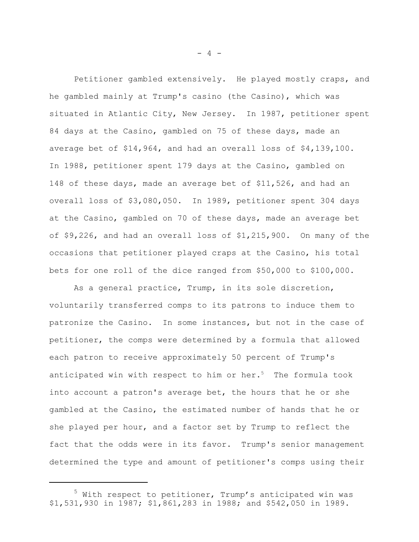Petitioner gambled extensively. He played mostly craps, and he gambled mainly at Trump's casino (the Casino), which was situated in Atlantic City, New Jersey. In 1987, petitioner spent 84 days at the Casino, gambled on 75 of these days, made an average bet of \$14,964, and had an overall loss of \$4,139,100. In 1988, petitioner spent 179 days at the Casino, gambled on 148 of these days, made an average bet of \$11,526, and had an overall loss of \$3,080,050. In 1989, petitioner spent 304 days at the Casino, gambled on 70 of these days, made an average bet of \$9,226, and had an overall loss of \$1,215,900. On many of the occasions that petitioner played craps at the Casino, his total bets for one roll of the dice ranged from \$50,000 to \$100,000.

As a general practice, Trump, in its sole discretion, voluntarily transferred comps to its patrons to induce them to patronize the Casino. In some instances, but not in the case of petitioner, the comps were determined by a formula that allowed each patron to receive approximately 50 percent of Trump's anticipated win with respect to him or her. $5$  The formula took into account a patron's average bet, the hours that he or she gambled at the Casino, the estimated number of hands that he or she played per hour, and a factor set by Trump to reflect the fact that the odds were in its favor. Trump's senior management determined the type and amount of petitioner's comps using their

- 4 -

<sup>&</sup>lt;sup>5</sup> With respect to petitioner, Trump's anticipated win was \$1,531,930 in 1987; \$1,861,283 in 1988; and \$542,050 in 1989.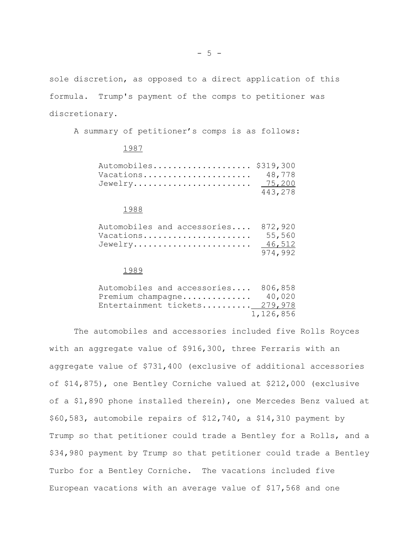sole discretion, as opposed to a direct application of this formula. Trump's payment of the comps to petitioner was discretionary.

A summary of petitioner's comps is as follows:

#### 1987

| Automobiles \$319,300 |         |
|-----------------------|---------|
| Vacations 48,778      |         |
| Jewelry 75,200        |         |
|                       | 443,278 |

#### 1988

| Automobiles and accessories 872,920 |         |
|-------------------------------------|---------|
| Vacations $55.560$                  |         |
| Jewelry $46,512$                    |         |
|                                     | 974.992 |

### 1989

| Automobiles and accessories 806,858 |           |
|-------------------------------------|-----------|
| Premium champagne 40,020            |           |
| Entertainment tickets 279,978       |           |
|                                     | 1,126,856 |

The automobiles and accessories included five Rolls Royces with an aggregate value of \$916,300, three Ferraris with an aggregate value of \$731,400 (exclusive of additional accessories of \$14,875), one Bentley Corniche valued at \$212,000 (exclusive of a \$1,890 phone installed therein), one Mercedes Benz valued at \$60,583, automobile repairs of \$12,740, a \$14,310 payment by Trump so that petitioner could trade a Bentley for a Rolls, and a \$34,980 payment by Trump so that petitioner could trade a Bentley Turbo for a Bentley Corniche. The vacations included five European vacations with an average value of \$17,568 and one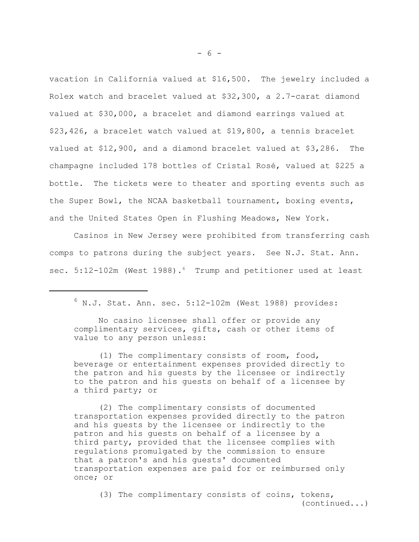vacation in California valued at \$16,500. The jewelry included a Rolex watch and bracelet valued at \$32,300, a 2.7-carat diamond valued at \$30,000, a bracelet and diamond earrings valued at \$23,426, a bracelet watch valued at \$19,800, a tennis bracelet valued at \$12,900, and a diamond bracelet valued at \$3,286. The champagne included 178 bottles of Cristal Rosé, valued at \$225 a bottle. The tickets were to theater and sporting events such as the Super Bowl, the NCAA basketball tournament, boxing events, and the United States Open in Flushing Meadows, New York.

Casinos in New Jersey were prohibited from transferring cash comps to patrons during the subject years. See N.J. Stat. Ann. sec. 5:12-102m (West 1988).<sup>6</sup> Trump and petitioner used at least

No casino licensee shall offer or provide any complimentary services, gifts, cash or other items of value to any person unless:

(1) The complimentary consists of room, food, beverage or entertainment expenses provided directly to the patron and his guests by the licensee or indirectly to the patron and his guests on behalf of a licensee by a third party; or

(2) The complimentary consists of documented transportation expenses provided directly to the patron and his guests by the licensee or indirectly to the patron and his guests on behalf of a licensee by a third party, provided that the licensee complies with regulations promulgated by the commission to ensure that a patron's and his guests' documented transportation expenses are paid for or reimbursed only once; or

(3) The complimentary consists of coins, tokens, (continued...)

 $- 6 -$ 

 $6$  N.J. Stat. Ann. sec.  $5:12-102m$  (West 1988) provides: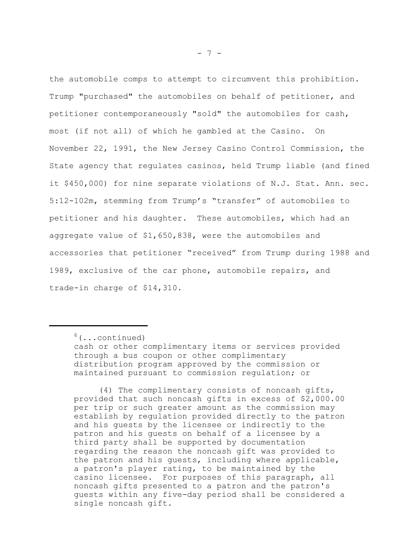the automobile comps to attempt to circumvent this prohibition. Trump "purchased" the automobiles on behalf of petitioner, and petitioner contemporaneously "sold" the automobiles for cash, most (if not all) of which he gambled at the Casino. On November 22, 1991, the New Jersey Casino Control Commission, the State agency that regulates casinos, held Trump liable (and fined it \$450,000) for nine separate violations of N.J. Stat. Ann. sec. 5:12-102m, stemming from Trump's "transfer" of automobiles to petitioner and his daughter. These automobiles, which had an aggregate value of \$1,650,838, were the automobiles and accessories that petitioner "received" from Trump during 1988 and 1989, exclusive of the car phone, automobile repairs, and trade-in charge of \$14,310.

(4) The complimentary consists of noncash gifts, provided that such noncash gifts in excess of \$2,000.00 per trip or such greater amount as the commission may establish by regulation provided directly to the patron and his guests by the licensee or indirectly to the patron and his guests on behalf of a licensee by a third party shall be supported by documentation regarding the reason the noncash gift was provided to the patron and his guests, including where applicable, a patron's player rating, to be maintained by the casino licensee. For purposes of this paragraph, all noncash gifts presented to a patron and the patron's guests within any five-day period shall be considered a single noncash gift.

 $6$ (...continued)

cash or other complimentary items or services provided through a bus coupon or other complimentary distribution program approved by the commission or maintained pursuant to commission regulation; or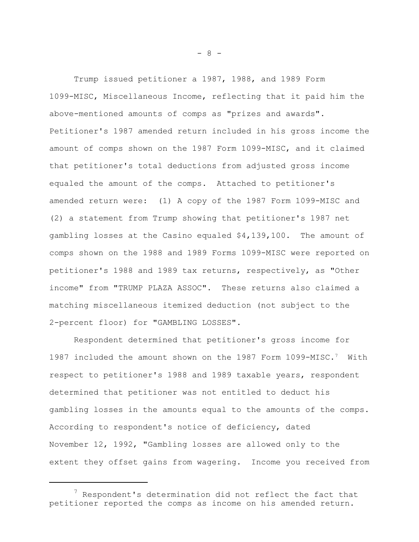Trump issued petitioner a 1987, 1988, and 1989 Form 1099-MISC, Miscellaneous Income, reflecting that it paid him the above-mentioned amounts of comps as "prizes and awards". Petitioner's 1987 amended return included in his gross income the amount of comps shown on the 1987 Form 1099-MISC, and it claimed that petitioner's total deductions from adjusted gross income equaled the amount of the comps. Attached to petitioner's amended return were: (1) A copy of the 1987 Form 1099-MISC and (2) a statement from Trump showing that petitioner's 1987 net gambling losses at the Casino equaled \$4,139,100. The amount of comps shown on the 1988 and 1989 Forms 1099-MISC were reported on petitioner's 1988 and 1989 tax returns, respectively, as "Other income" from "TRUMP PLAZA ASSOC". These returns also claimed a matching miscellaneous itemized deduction (not subject to the 2-percent floor) for "GAMBLING LOSSES".

Respondent determined that petitioner's gross income for 1987 included the amount shown on the 1987 Form 1099-MISC.7 With respect to petitioner's 1988 and 1989 taxable years, respondent determined that petitioner was not entitled to deduct his gambling losses in the amounts equal to the amounts of the comps. According to respondent's notice of deficiency, dated November 12, 1992, "Gambling losses are allowed only to the extent they offset gains from wagering. Income you received from

- 8 -

 $7$  Respondent's determination did not reflect the fact that petitioner reported the comps as income on his amended return.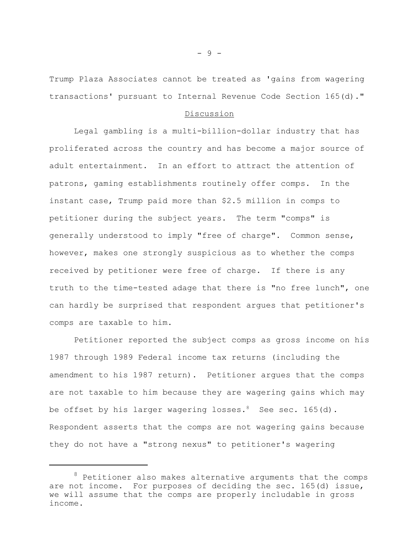Trump Plaza Associates cannot be treated as 'gains from wagering transactions' pursuant to Internal Revenue Code Section 165(d)."

### Discussion

Legal gambling is a multi-billion-dollar industry that has proliferated across the country and has become a major source of adult entertainment. In an effort to attract the attention of patrons, gaming establishments routinely offer comps. In the instant case, Trump paid more than \$2.5 million in comps to petitioner during the subject years. The term "comps" is generally understood to imply "free of charge". Common sense, however, makes one strongly suspicious as to whether the comps received by petitioner were free of charge. If there is any truth to the time-tested adage that there is "no free lunch", one can hardly be surprised that respondent argues that petitioner's comps are taxable to him.

Petitioner reported the subject comps as gross income on his 1987 through 1989 Federal income tax returns (including the amendment to his 1987 return). Petitioner argues that the comps are not taxable to him because they are wagering gains which may be offset by his larger wagering losses. $8$  See sec. 165(d). Respondent asserts that the comps are not wagering gains because they do not have a "strong nexus" to petitioner's wagering

- 9 -

 $8$  Petitioner also makes alternative arguments that the comps are not income. For purposes of deciding the sec. 165(d) issue, we will assume that the comps are properly includable in gross income.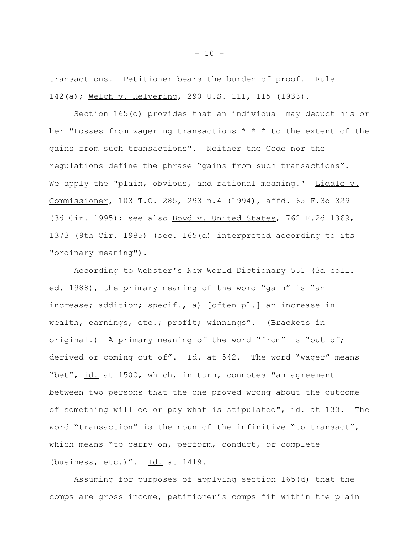transactions. Petitioner bears the burden of proof. Rule 142(a); Welch v. Helvering, 290 U.S. 111, 115 (1933).

Section 165(d) provides that an individual may deduct his or her "Losses from wagering transactions \* \* \* to the extent of the gains from such transactions". Neither the Code nor the regulations define the phrase "gains from such transactions". We apply the "plain, obvious, and rational meaning." Liddle v. Commissioner, 103 T.C. 285, 293 n.4 (1994), affd. 65 F.3d 329 (3d Cir. 1995); see also Boyd v. United States, 762 F.2d 1369, 1373 (9th Cir. 1985) (sec. 165(d) interpreted according to its "ordinary meaning").

According to Webster's New World Dictionary 551 (3d coll. ed. 1988), the primary meaning of the word "gain" is "an increase; addition; specif., a) [often pl.] an increase in wealth, earnings, etc.; profit; winnings". (Brackets in original.) A primary meaning of the word "from" is "out of; derived or coming out of".  $\underline{Id.}$  at 542. The word "wager" means "bet", id. at 1500, which, in turn, connotes "an agreement between two persons that the one proved wrong about the outcome of something will do or pay what is stipulated", id. at 133. The word "transaction" is the noun of the infinitive "to transact", which means "to carry on, perform, conduct, or complete (business, etc.)". Id. at 1419.

Assuming for purposes of applying section 165(d) that the comps are gross income, petitioner's comps fit within the plain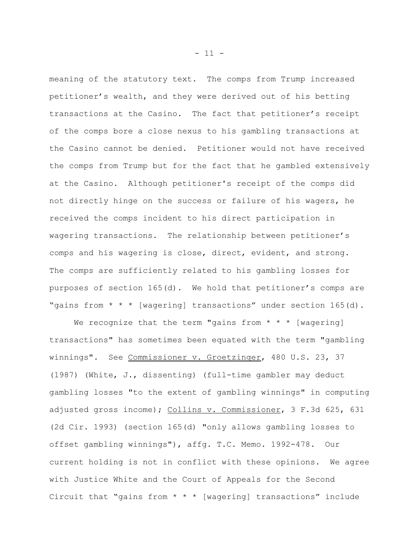meaning of the statutory text. The comps from Trump increased petitioner's wealth, and they were derived out of his betting transactions at the Casino. The fact that petitioner's receipt of the comps bore a close nexus to his gambling transactions at the Casino cannot be denied. Petitioner would not have received the comps from Trump but for the fact that he gambled extensively at the Casino. Although petitioner's receipt of the comps did not directly hinge on the success or failure of his wagers, he received the comps incident to his direct participation in wagering transactions. The relationship between petitioner's comps and his wagering is close, direct, evident, and strong. The comps are sufficiently related to his gambling losses for purposes of section 165(d). We hold that petitioner's comps are "gains from \* \* \* [wagering] transactions" under section 165(d).

We recognize that the term "gains from  $* * *$  [wagering] transactions" has sometimes been equated with the term "gambling winnings". See Commissioner v. Groetzinger, 480 U.S. 23, 37 (1987) (White, J., dissenting) (full-time gambler may deduct gambling losses "to the extent of gambling winnings" in computing adjusted gross income); Collins v. Commissioner, 3 F.3d 625, 631 (2d Cir. 1993) (section 165(d) "only allows gambling losses to offset gambling winnings"), affg. T.C. Memo. 1992-478. Our current holding is not in conflict with these opinions. We agree with Justice White and the Court of Appeals for the Second Circuit that "gains from \* \* \* [wagering] transactions" include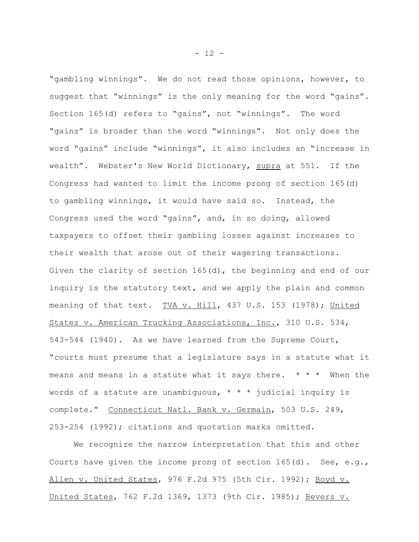"gambling winnings". We do not read those opinions, however, to suggest that "winnings" is the only meaning for the word "gains". Section 165(d) refers to "gains", not "winnings". The word "gains" is broader than the word "winnings". Not only does the word "gains" include "winnings", it also includes an "increase in wealth". Webster's New World Dictionary, supra at 551. If the Congress had wanted to limit the income prong of section 165(d) to gambling winnings, it would have said so. Instead, the Congress used the word "gains", and, in so doing, allowed taxpayers to offset their gambling losses against increases to their wealth that arose out of their wagering transactions. Given the clarity of section 165(d), the beginning and end of our inquiry is the statutory text, and we apply the plain and common meaning of that text. TVA v. Hill, 437 U.S. 153 (1978); United States v. American Trucking Associations, Inc., 310 U.S. 534, 543-544 (1940). As we have learned from the Supreme Court, "courts must presume that a legislature says in a statute what it means and means in a statute what it says there.  $* * *$  When the words of a statute are unambiguous,  $* * * j$ udicial inquiry is complete." Connecticut Natl. Bank v. Germain, 503 U.S. 249, 253-254 (1992); citations and quotation marks omitted.

We recognize the narrow interpretation that this and other Courts have given the income prong of section 165(d). See, e.g., Allen v. United States, 976 F.2d 975 (5th Cir. 1992); Boyd v. United States, 762 F.2d 1369, 1373 (9th Cir. 1985); Bevers v.

 $- 12 -$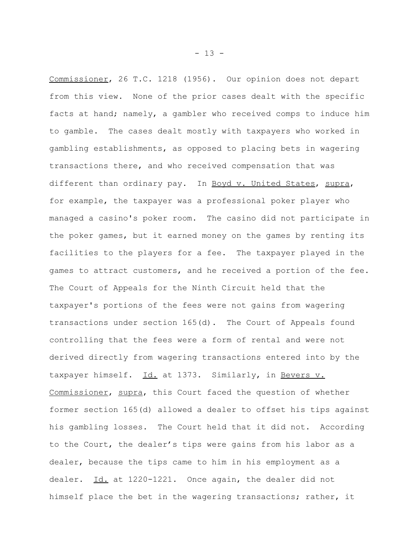Commissioner, 26 T.C. 1218 (1956). Our opinion does not depart from this view. None of the prior cases dealt with the specific facts at hand; namely, a gambler who received comps to induce him to gamble. The cases dealt mostly with taxpayers who worked in gambling establishments, as opposed to placing bets in wagering transactions there, and who received compensation that was different than ordinary pay. In Boyd v. United States, supra, for example, the taxpayer was a professional poker player who managed a casino's poker room. The casino did not participate in the poker games, but it earned money on the games by renting its facilities to the players for a fee. The taxpayer played in the games to attract customers, and he received a portion of the fee. The Court of Appeals for the Ninth Circuit held that the taxpayer's portions of the fees were not gains from wagering transactions under section 165(d). The Court of Appeals found controlling that the fees were a form of rental and were not derived directly from wagering transactions entered into by the taxpayer himself. Id. at 1373. Similarly, in Bevers v. Commissioner, supra, this Court faced the question of whether former section 165(d) allowed a dealer to offset his tips against his gambling losses. The Court held that it did not. According to the Court, the dealer's tips were gains from his labor as a dealer, because the tips came to him in his employment as a dealer. Id. at 1220-1221. Once again, the dealer did not himself place the bet in the wagering transactions; rather, it

 $- 13 -$